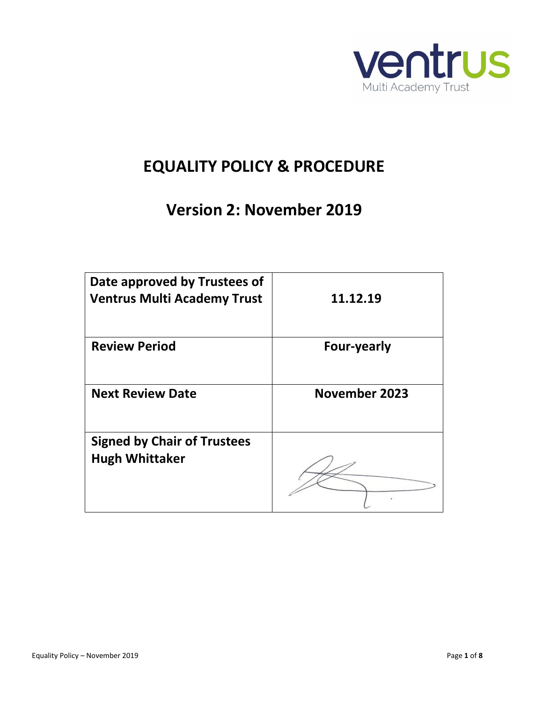

# **EQUALITY POLICY & PROCEDURE**

# **Version 2: November 2019**

| Date approved by Trustees of<br><b>Ventrus Multi Academy Trust</b> | 11.12.19           |
|--------------------------------------------------------------------|--------------------|
| <b>Review Period</b>                                               | <b>Four-yearly</b> |
| <b>Next Review Date</b>                                            | November 2023      |
| <b>Signed by Chair of Trustees</b><br><b>Hugh Whittaker</b>        |                    |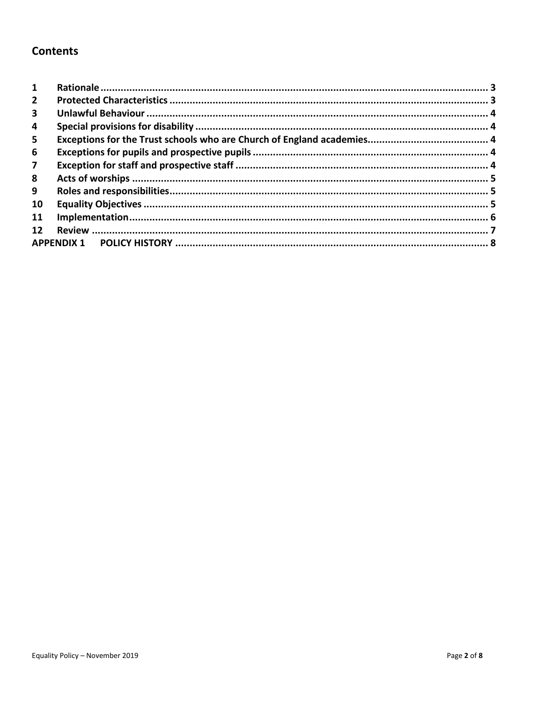### **Contents**

| 1               |  |
|-----------------|--|
| $\overline{2}$  |  |
| 3               |  |
| 4               |  |
| 5               |  |
| 6               |  |
| 7               |  |
| 8               |  |
| 9               |  |
| 10              |  |
| 11              |  |
| 12 <sub>2</sub> |  |
|                 |  |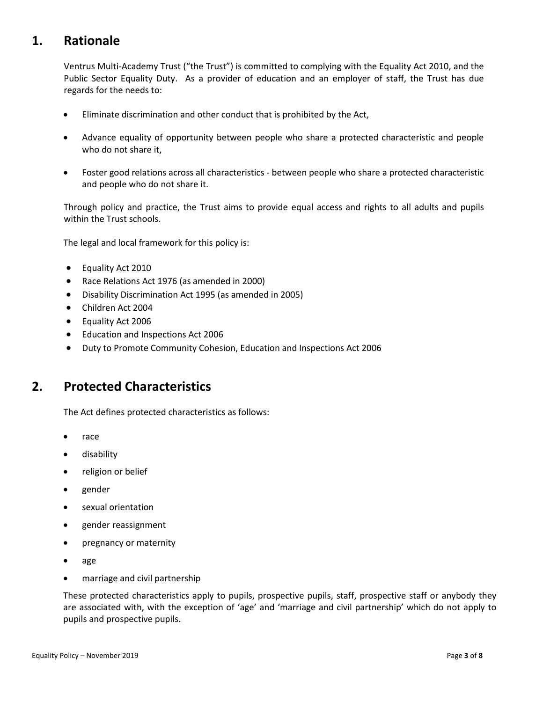# <span id="page-2-0"></span>**1. Rationale**

Ventrus Multi-Academy Trust ("the Trust") is committed to complying with the Equality Act 2010, and the Public Sector Equality Duty. As a provider of education and an employer of staff, the Trust has due regards for the needs to:

- Eliminate discrimination and other conduct that is prohibited by the Act,
- Advance equality of opportunity between people who share a protected characteristic and people who do not share it,
- Foster good relations across all characteristics between people who share a protected characteristic and people who do not share it.

Through policy and practice, the Trust aims to provide equal access and rights to all adults and pupils within the Trust schools.

The legal and local framework for this policy is:

- Equality Act 2010
- Race Relations Act 1976 (as amended in 2000)
- Disability Discrimination Act 1995 (as amended in 2005)
- Children Act 2004
- Equality Act 2006
- Education and Inspections Act 2006
- Duty to Promote Community Cohesion, Education and Inspections Act 2006

### <span id="page-2-1"></span>**2. Protected Characteristics**

The Act defines protected characteristics as follows:

- race
- disability
- religion or belief
- gender
- sexual orientation
- gender reassignment
- pregnancy or maternity
- age
- marriage and civil partnership

These protected characteristics apply to pupils, prospective pupils, staff, prospective staff or anybody they are associated with, with the exception of 'age' and 'marriage and civil partnership' which do not apply to pupils and prospective pupils.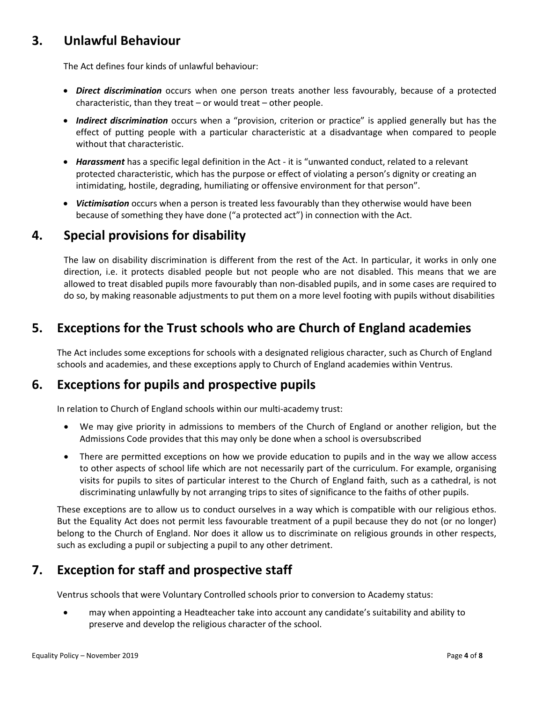# <span id="page-3-0"></span>**3. Unlawful Behaviour**

The Act defines four kinds of unlawful behaviour:

- *Direct discrimination* occurs when one person treats another less favourably, because of a protected characteristic, than they treat – or would treat – other people.
- *Indirect discrimination* occurs when a "provision, criterion or practice" is applied generally but has the effect of putting people with a particular characteristic at a disadvantage when compared to people without that characteristic.
- *Harassment* has a specific legal definition in the Act it is "unwanted conduct, related to a relevant protected characteristic, which has the purpose or effect of violating a person's dignity or creating an intimidating, hostile, degrading, humiliating or offensive environment for that person".
- *Victimisation* occurs when a person is treated less favourably than they otherwise would have been because of something they have done ("a protected act") in connection with the Act.

## <span id="page-3-1"></span>**4. Special provisions for disability**

The law on disability discrimination is different from the rest of the Act. In particular, it works in only one direction, i.e. it protects disabled people but not people who are not disabled. This means that we are allowed to treat disabled pupils more favourably than non-disabled pupils, and in some cases are required to do so, by making reasonable adjustments to put them on a more level footing with pupils without disabilities

# <span id="page-3-2"></span>**5. Exceptions for the Trust schools who are Church of England academies**

The Act includes some exceptions for schools with a designated religious character, such as Church of England schools and academies, and these exceptions apply to Church of England academies within Ventrus.

# <span id="page-3-3"></span>**6. Exceptions for pupils and prospective pupils**

In relation to Church of England schools within our multi-academy trust:

- We may give priority in admissions to members of the Church of England or another religion, but the Admissions Code provides that this may only be done when a school is oversubscribed
- There are permitted exceptions on how we provide education to pupils and in the way we allow access to other aspects of school life which are not necessarily part of the curriculum. For example, organising visits for pupils to sites of particular interest to the Church of England faith, such as a cathedral, is not discriminating unlawfully by not arranging trips to sites of significance to the faiths of other pupils.

These exceptions are to allow us to conduct ourselves in a way which is compatible with our religious ethos. But the Equality Act does not permit less favourable treatment of a pupil because they do not (or no longer) belong to the Church of England. Nor does it allow us to discriminate on religious grounds in other respects, such as excluding a pupil or subjecting a pupil to any other detriment.

# <span id="page-3-4"></span>**7. Exception for staff and prospective staff**

Ventrus schools that were Voluntary Controlled schools prior to conversion to Academy status:

• may when appointing a Headteacher take into account any candidate's suitability and ability to preserve and develop the religious character of the school.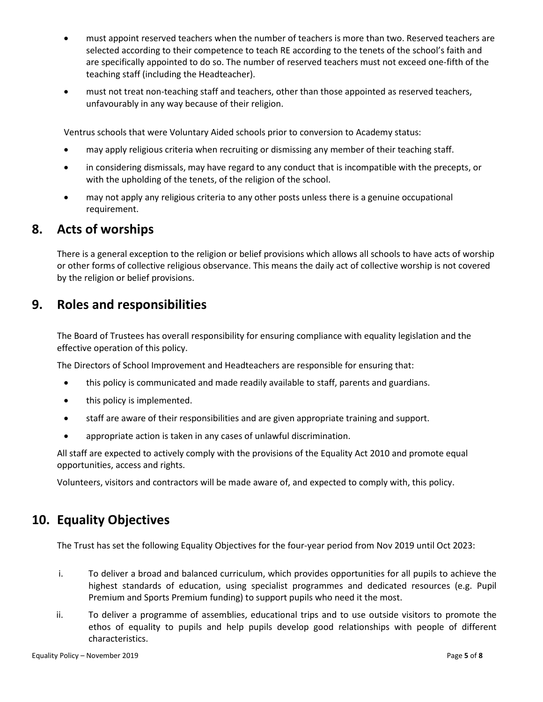- must appoint reserved teachers when the number of teachers is more than two. Reserved teachers are selected according to their competence to teach RE according to the tenets of the school's faith and are specifically appointed to do so. The number of reserved teachers must not exceed one-fifth of the teaching staff (including the Headteacher).
- must not treat non-teaching staff and teachers, other than those appointed as reserved teachers, unfavourably in any way because of their religion.

Ventrus schools that were Voluntary Aided schools prior to conversion to Academy status:

- may apply religious criteria when recruiting or dismissing any member of their teaching staff.
- in considering dismissals, may have regard to any conduct that is incompatible with the precepts, or with the upholding of the tenets, of the religion of the school.
- may not apply any religious criteria to any other posts unless there is a genuine occupational requirement.

#### <span id="page-4-0"></span>**8. Acts of worships**

There is a general exception to the religion or belief provisions which allows all schools to have acts of worship or other forms of collective religious observance. This means the daily act of collective worship is not covered by the religion or belief provisions.

#### <span id="page-4-1"></span>**9. Roles and responsibilities**

The Board of Trustees has overall responsibility for ensuring compliance with equality legislation and the effective operation of this policy.

The Directors of School Improvement and Headteachers are responsible for ensuring that:

- this policy is communicated and made readily available to staff, parents and guardians.
- this policy is implemented.
- staff are aware of their responsibilities and are given appropriate training and support.
- appropriate action is taken in any cases of unlawful discrimination.

All staff are expected to actively comply with the provisions of the Equality Act 2010 and promote equal opportunities, access and rights.

Volunteers, visitors and contractors will be made aware of, and expected to comply with, this policy.

### <span id="page-4-2"></span>**10. Equality Objectives**

The Trust has set the following Equality Objectives for the four-year period from Nov 2019 until Oct 2023:

- i. To deliver a broad and balanced curriculum, which provides opportunities for all pupils to achieve the highest standards of education, using specialist programmes and dedicated resources (e.g. Pupil Premium and Sports Premium funding) to support pupils who need it the most.
- ii. To deliver a programme of assemblies, educational trips and to use outside visitors to promote the ethos of equality to pupils and help pupils develop good relationships with people of different characteristics.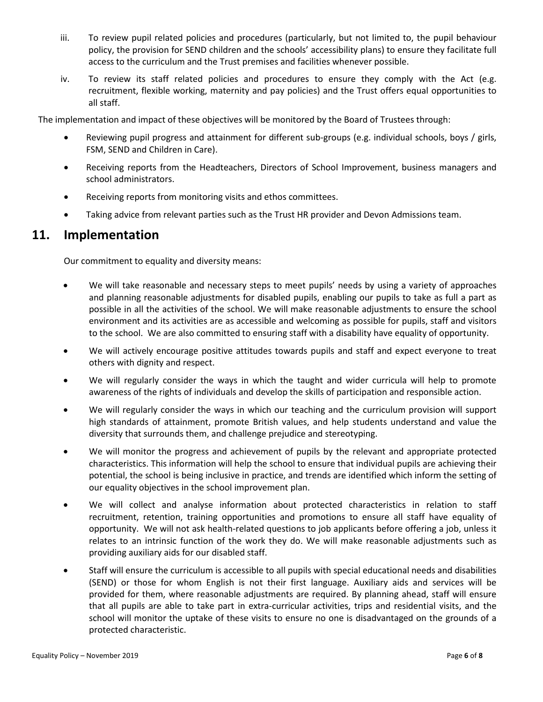- iii. To review pupil related policies and procedures (particularly, but not limited to, the pupil behaviour policy, the provision for SEND children and the schools' accessibility plans) to ensure they facilitate full access to the curriculum and the Trust premises and facilities whenever possible.
- iv. To review its staff related policies and procedures to ensure they comply with the Act (e.g. recruitment, flexible working, maternity and pay policies) and the Trust offers equal opportunities to all staff.

The implementation and impact of these objectives will be monitored by the Board of Trustees through:

- Reviewing pupil progress and attainment for different sub-groups (e.g. individual schools, boys / girls, FSM, SEND and Children in Care).
- Receiving reports from the Headteachers, Directors of School Improvement, business managers and school administrators.
- Receiving reports from monitoring visits and ethos committees.
- Taking advice from relevant parties such as the Trust HR provider and Devon Admissions team.

### <span id="page-5-0"></span>**11. Implementation**

Our commitment to equality and diversity means:

- We will take reasonable and necessary steps to meet pupils' needs by using a variety of approaches and planning reasonable adjustments for disabled pupils, enabling our pupils to take as full a part as possible in all the activities of the school. We will make reasonable adjustments to ensure the school environment and its activities are as accessible and welcoming as possible for pupils, staff and visitors to the school. We are also committed to ensuring staff with a disability have equality of opportunity.
- We will actively encourage positive attitudes towards pupils and staff and expect everyone to treat others with dignity and respect.
- We will regularly consider the ways in which the taught and wider curricula will help to promote awareness of the rights of individuals and develop the skills of participation and responsible action.
- We will regularly consider the ways in which our teaching and the curriculum provision will support high standards of attainment, promote British values, and help students understand and value the diversity that surrounds them, and challenge prejudice and stereotyping.
- We will monitor the progress and achievement of pupils by the relevant and appropriate protected characteristics. This information will help the school to ensure that individual pupils are achieving their potential, the school is being inclusive in practice, and trends are identified which inform the setting of our equality objectives in the school improvement plan.
- We will collect and analyse information about protected characteristics in relation to staff recruitment, retention, training opportunities and promotions to ensure all staff have equality of opportunity. We will not ask health-related questions to job applicants before offering a job, unless it relates to an intrinsic function of the work they do. We will make reasonable adjustments such as providing auxiliary aids for our disabled staff.
- Staff will ensure the curriculum is accessible to all pupils with special educational needs and disabilities (SEND) or those for whom English is not their first language. Auxiliary aids and services will be provided for them, where reasonable adjustments are required. By planning ahead, staff will ensure that all pupils are able to take part in extra-curricular activities, trips and residential visits, and the school will monitor the uptake of these visits to ensure no one is disadvantaged on the grounds of a protected characteristic.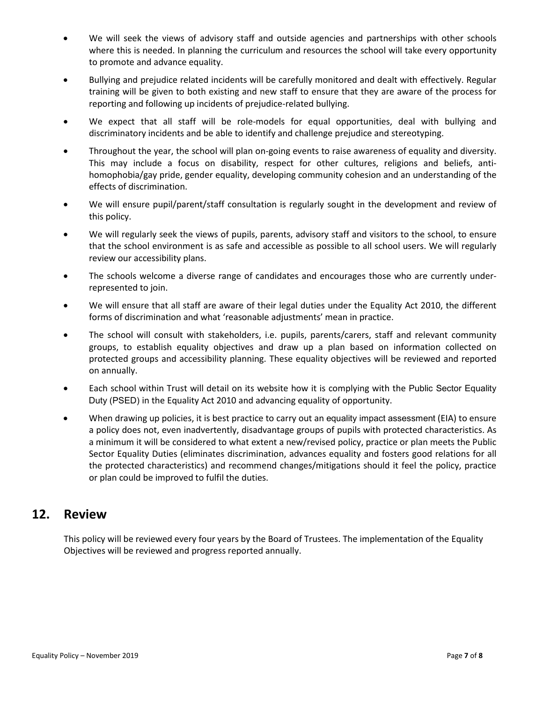- We will seek the views of advisory staff and outside agencies and partnerships with other schools where this is needed. In planning the curriculum and resources the school will take every opportunity to promote and advance equality.
- Bullying and prejudice related incidents will be carefully monitored and dealt with effectively. Regular training will be given to both existing and new staff to ensure that they are aware of the process for reporting and following up incidents o[f prejudice-related bullying.](http://www.babcock-education.co.uk/ldp/view_folder.asp?folderid=125847&depth=1&rootid=125847&level1=&level1id=)
- We expect that all staff will be role-models for equal opportunities, deal with bullying and discriminatory incidents and be able to identify and challenge prejudice and stereotyping.
- Throughout the year, the school will plan on-going events to raise awareness of equality and diversity. This may include a focus on disability, respect for other cultures, religions and beliefs, antihomophobia/gay pride, gender equality, developing community cohesion and an understanding of the effects of discrimination.
- We will ensure pupil/parent/staff consultation is regularly sought in the development and review of this policy.
- We will regularly seek the views of pupils, parents, advisory staff and visitors to the school, to ensure that the school environment is as safe and accessible as possible to all school users. We will regularly review our accessibility plans.
- The schools welcome a diverse range of candidates and encourages those who are currently underrepresented to join.
- We will ensure that all staff are aware of their legal duties under the Equality Act 2010, the different forms of discrimination and what 'reasonable adjustments' mean in practice.
- The school will consult with stakeholders, i.e. pupils, parents/carers, staff and relevant community groups, to establish equality objectives and draw up a plan based on information collected on protected groups and accessibility planning. These equality objectives will be reviewed and reported on annually.
- Each school within Trust will detail on its website how it is complying with the Public Sector Equality Duty (PSED) in the Equality Act 2010 and advancing equality of opportunity.
- When drawing up policies, it is best practice to carry out an [equality impact assessment](http://www.devon.gov.uk/impact) (EIA) to ensure a policy does not, even inadvertently, disadvantage groups of pupils with protected characteristics. As a minimum it will be considered to what extent a new/revised policy, practice or plan meets the Public Sector Equality Duties (eliminates discrimination, advances equality and fosters good relations for all the protected characteristics) and recommend changes/mitigations should it feel the policy, practice or plan could be improved to fulfil the duties.

### <span id="page-6-0"></span>**12. Review**

This policy will be reviewed every four years by the Board of Trustees. The implementation of the Equality Objectives will be reviewed and progress reported annually.